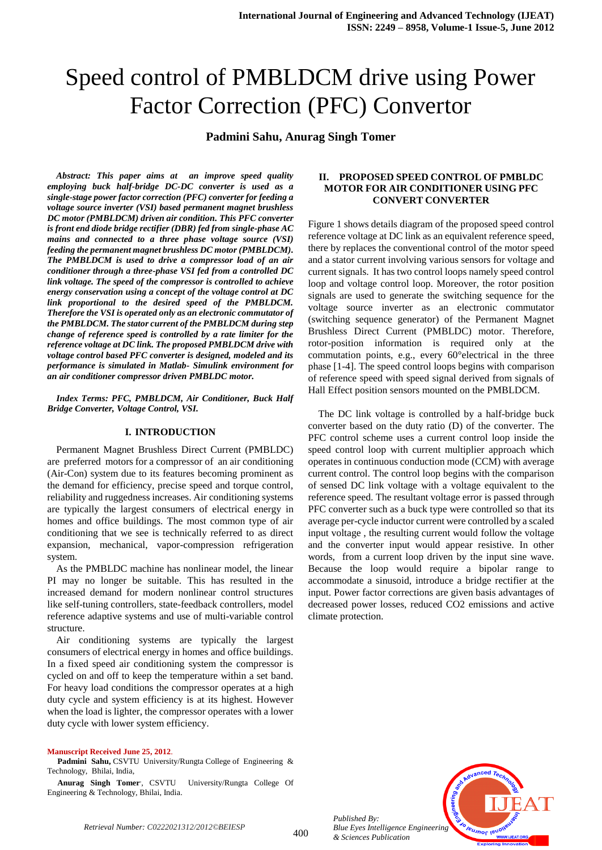**Padmini Sahu, Anurag Singh Tomer**

*Abstract: This paper aims at an improve speed quality employing buck half-bridge DC-DC converter is used as a single-stage power factor correction (PFC) converter for feeding a voltage source inverter (VSI) based permanent magnet brushless DC motor (PMBLDCM) driven air condition. This PFC converter is front end diode bridge rectifier (DBR) fed from single-phase AC mains and connected to a three phase voltage source (VSI) feeding the permanent magnet brushless DC motor (PMBLDCM). The PMBLDCM is used to drive a compressor load of an air conditioner through a three-phase VSI fed from a controlled DC link voltage. The speed of the compressor is controlled to achieve energy conservation using a concept of the voltage control at DC link proportional to the desired speed of the PMBLDCM. Therefore the VSI is operated only as an electronic commutator of the PMBLDCM. The stator current of the PMBLDCM during step change of reference speed is controlled by a rate limiter for the reference voltage at DC link. The proposed PMBLDCM drive with voltage control based PFC converter is designed, modeled and its performance is simulated in Matlab- Simulink environment for an air conditioner compressor driven PMBLDC motor.*

*Index Terms: PFC, PMBLDCM, Air Conditioner, Buck Half Bridge Converter, Voltage Control, VSI.*

#### **I. INTRODUCTION**

Permanent Magnet Brushless Direct Current (PMBLDC) are preferred motors for a compressor of an air conditioning (Air-Con) system due to its features becoming prominent as the demand for efficiency, precise speed and torque control, reliability and ruggedness increases. Air conditioning systems are typically the largest consumers of electrical energy in homes and office buildings. The most common type of air conditioning that we see is technically referred to as direct expansion, mechanical, vapor-compression refrigeration system.

As the PMBLDC machine has nonlinear model, the linear PI may no longer be suitable. This has resulted in the increased demand for modern nonlinear control structures like self-tuning controllers, state-feedback controllers, model reference adaptive systems and use of multi-variable control structure.

Air conditioning systems are typically the largest consumers of electrical energy in homes and office buildings. In a fixed speed air conditioning system the compressor is cycled on and off to keep the temperature within a set band. For heavy load conditions the compressor operates at a high duty cycle and system efficiency is at its highest. However when the load is lighter, the compressor operates with a lower duty cycle with lower system efficiency.

#### **Manuscript Received June 25, 2012**.

**Padmini Sahu,** CSVTU University/Rungta College of Engineering & Technology, Bhilai, India,

**Anurag Singh Tomer**, University/Rungta College Of Engineering & Technology, Bhilai, India.

#### **II. PROPOSED SPEED CONTROL OF PMBLDC MOTOR FOR AIR CONDITIONER USING PFC CONVERT CONVERTER**

Figure 1 shows details diagram of the proposed speed control reference voltage at DC link as an equivalent reference speed, there by replaces the conventional control of the motor speed and a stator current involving various sensors for voltage and current signals. It has two control loops namely speed control loop and voltage control loop. Moreover, the rotor position signals are used to generate the switching sequence for the voltage source inverter as an electronic commutator (switching sequence generator) of the Permanent Magnet Brushless Direct Current (PMBLDC) motor. Therefore, rotor-position information is required only at the commutation points, e.g., every 60°electrical in the three phase [1-4]. The speed control loops begins with comparison of reference speed with speed signal derived from signals of Hall Effect position sensors mounted on the PMBLDCM.

The DC link voltage is controlled by a half-bridge buck converter based on the duty ratio (D) of the converter. The PFC control scheme uses a current control loop inside the speed control loop with current multiplier approach which operates in continuous conduction mode (CCM) with average current control. The control loop begins with the comparison of sensed DC link voltage with a voltage equivalent to the reference speed. The resultant voltage error is passed through PFC converter such as a buck type were controlled so that its average per-cycle inductor current were controlled by a scaled input voltage , the resulting current would follow the voltage and the converter input would appear resistive. In other words, from a current loop driven by the input sine wave. Because the loop would require a bipolar range to accommodate a sinusoid, introduce a bridge rectifier at the input. Power factor corrections are given basis advantages of decreased power losses, reduced CO2 emissions and active climate protection.



*Published By: Blue Eyes Intelligence Engineering & Sciences Publication*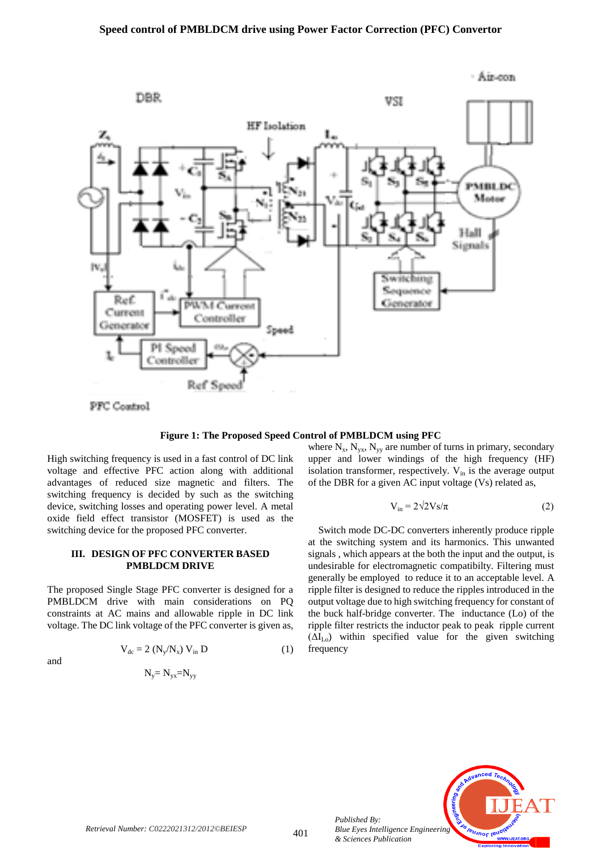

**Figure 1: The Proposed Speed Control of PMBLDCM using PFC**

High switching frequency is used in a fast control of DC link voltage and effective PFC action along with additional advantages of reduced size magnetic and filters. The switching frequency is decided by such as the switching device, switching losses and operating power level. A metal oxide field effect transistor (MOSFET) is used as the switching device for the proposed PFC converter.

#### **III. DESIGN OF PFC CONVERTER BASED PMBLDCM DRIVE**

The proposed Single Stage PFC converter is designed for a PMBLDCM drive with main considerations on PQ constraints at AC mains and allowable ripple in DC link voltage. The DC link voltage of the PFC converter is given as,

and

$$
V_{dc} = 2 (N_y/N_x) V_{in} D \tag{1}
$$

$$
N_y\!\!=N_{yx}\!\!=\!\!N_{yy}
$$

where  $N_x$ ,  $N_{yx}$ ,  $N_{yy}$  are number of turns in primary, secondary upper and lower windings of the high frequency (HF) isolation transformer, respectively.  $V_{in}$  is the average output of the DBR for a given AC input voltage (Vs) related as,

$$
V_{in} = 2\sqrt{2}Vs/\pi
$$
 (2)

Switch mode DC-DC converters inherently produce ripple at the switching system and its harmonics. This unwanted signals , which appears at the both the input and the output, is undesirable for electromagnetic compatibilty. Filtering must generally be employed to reduce it to an acceptable level. A ripple filter is designed to reduce the ripples introduced in the output voltage due to high switching frequency for constant of the buck half-bridge converter. The inductance (Lo) of the ripple filter restricts the inductor peak to peak ripple current  $(\Delta I_{L_0})$  within specified value for the given switching frequency



*Published By:*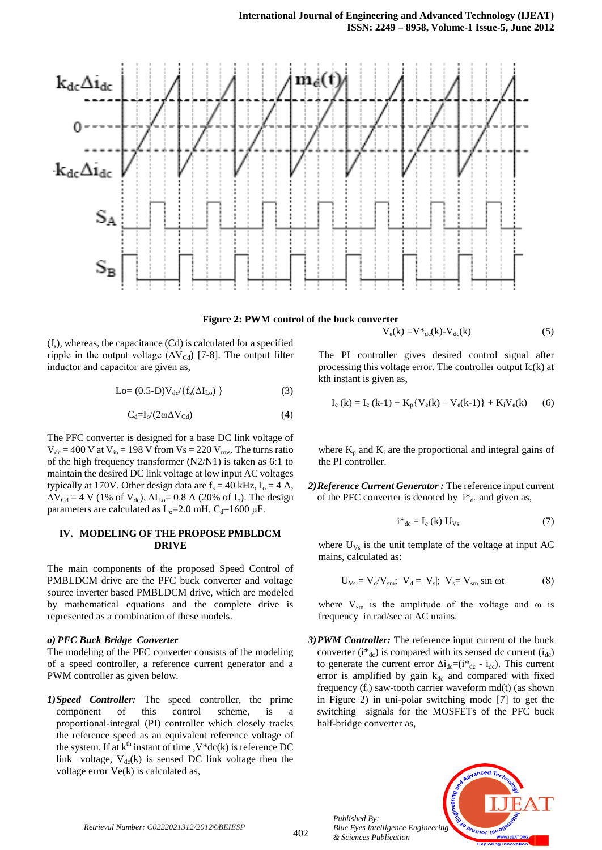



$$
V_e(k) = V^*_{dc}(k) - V_{dc}(k)
$$
 (5)

 $(f_s)$ , whereas, the capacitance (Cd) is calculated for a specified ripple in the output voltage ( $\Delta V_{Cd}$ ) [7-8]. The output filter inductor and capacitor are given as,

$$
Lo = (0.5-D)V_{dc}/\{f_s(\Delta I_{Lo})\}
$$
 (3)

$$
C_d = I_o / (2\omega \Delta V_{Cd})
$$
 (4)

The PFC converter is designed for a base DC link voltage of  $V_{dc} = 400$  V at  $V_{in} = 198$  V from  $V_s = 220$  V<sub>rms</sub>. The turns ratio of the high frequency transformer (N2/N1) is taken as 6:1 to maintain the desired DC link voltage at low input AC voltages typically at 170V. Other design data are  $f_s = 40$  kHz,  $I_o = 4$  A,  $\Delta V_{\text{Cd}} = 4 \text{ V}$  (1% of  $V_{\text{dc}}$ ),  $\Delta I_{\text{Lo}} = 0.8 \text{ A}$  (20% of I<sub>o</sub>). The design parameters are calculated as  $L_0=2.0$  mH,  $C_d=1600 \mu F$ .

#### **IV. MODELING OF THE PROPOSE PMBLDCM DRIVE**

The main components of the proposed Speed Control of PMBLDCM drive are the PFC buck converter and voltage source inverter based PMBLDCM drive, which are modeled by mathematical equations and the complete drive is represented as a combination of these models.

#### *a) PFC Buck Bridge Converter*

The modeling of the PFC converter consists of the modeling of a speed controller, a reference current generator and a PWM controller as given below.

*1)Speed Controller:* The speed controller, the prime component of this control scheme, is a proportional-integral (PI) controller which closely tracks the reference speed as an equivalent reference voltage of the system. If at  $k^{th}$  instant of time ,  $V^*dc(k)$  is reference DC link voltage,  $V_{dc}(k)$  is sensed DC link voltage then the voltage error Ve(k) is calculated as,

The PI controller gives desired control signal after processing this voltage error. The controller output Ic(k) at kth instant is given as,

$$
I_c (k) = I_c (k-1) + K_p \{ V_e(k) - V_e(k-1) \} + K_i V_e(k)
$$
 (6)

where  $K_p$  and  $K_i$  are the proportional and integral gains of the PI controller.

*2)Reference Current Generator :* The reference input current of the PFC converter is denoted by  $i^*_{dc}$  and given as,

$$
i^*_{dc} = I_c (k) U_{Vs}
$$
 (7)

where  $U_{Vs}$  is the unit template of the voltage at input AC mains, calculated as:

$$
U_{\text{Vs}} = V_{\text{d}}/V_{\text{sm}}; \ \ V_{\text{d}} = |V_{\text{s}}|; \ \ V_{\text{s}} = V_{\text{sm}} \sin \omega t \tag{8}
$$

where  $V_{\rm sm}$  is the amplitude of the voltage and  $\omega$  is frequency in rad/sec at AC mains.

*3)PWM Controller:* The reference input current of the buck converter  $(i^*_{dc})$  is compared with its sensed dc current  $(i_{dc})$ to generate the current error  $\Delta i_{dc} = (i_{dc} - i_{dc})$ . This current error is amplified by gain  $k_{dc}$  and compared with fixed frequency  $(f_s)$  saw-tooth carrier waveform md(t) (as shown in Figure 2) in uni-polar switching mode [7] to get the switching signals for the MOSFETs of the PFC buck half-bridge converter as,

*Published By: Blue Eyes Intelligence Engineering & Sciences Publication* 



*Retrieval Number: C0222021312/2012©BEIESP*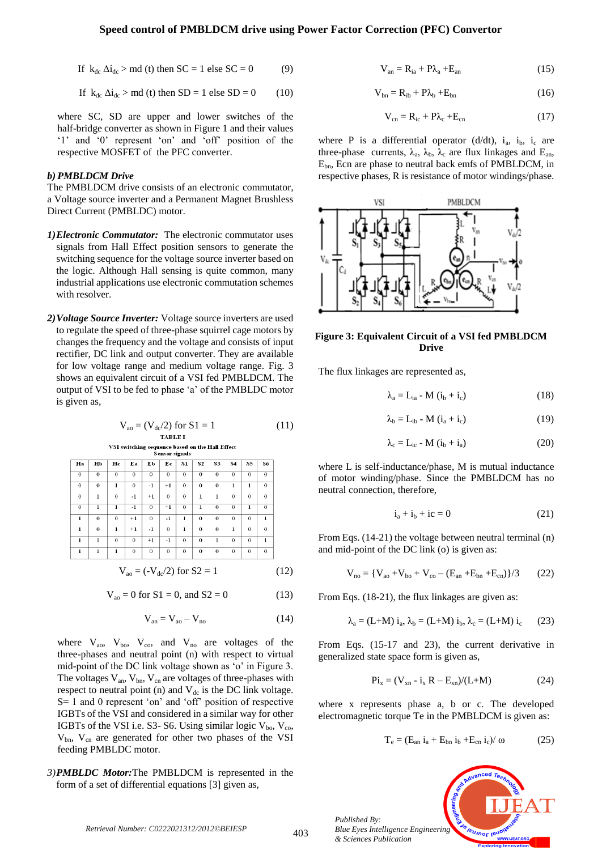If 
$$
k_{dc} \Delta i_{dc} > md
$$
 (t) then  $SC = 1$  else  $SC = 0$  (9)

If 
$$
k_{dc} \Delta i_{dc} > md
$$
 (t) then SD = 1 else SD = 0 (10)

where SC, SD are upper and lower switches of the half-bridge converter as shown in Figure 1 and their values "1" and "0" represent "on" and "off" position of the respective MOSFET of the PFC converter.

#### *b) PMBLDCM Drive*

The PMBLDCM drive consists of an electronic commutator, a Voltage source inverter and a Permanent Magnet Brushless Direct Current (PMBLDC) motor.

- *1)Electronic Commutator:* The electronic commutator uses signals from Hall Effect position sensors to generate the switching sequence for the voltage source inverter based on the logic. Although Hall sensing is quite common, many industrial applications use electronic commutation schemes with resolver.
- *2)Voltage Source Inverter:* Voltage source inverters are used to regulate the speed of three-phase squirrel cage motors by changes the frequency and the voltage and consists of input rectifier, DC link and output converter. They are available for low voltage range and medium voltage range. Fig. 3 shows an equivalent circuit of a VSI fed PMBLDCM. The output of VSI to be fed to phase "a" of the PMBLDC motor is given as,

Vao = (Vdc/2) for S1 = 1 (11)

$$
V_{ao} = (-V_{dc}/2) \text{ for } S2 = 1 \tag{12}
$$

$$
V_{ao} = 0 \text{ for } S1 = 0, \text{ and } S2 = 0 \tag{13}
$$

$$
V_{an} = V_{ao} - V_{no}
$$
 (14)

where  $V_{ao}$ ,  $V_{bo}$ ,  $V_{co}$ , and  $V_{no}$  are voltages of the three-phases and neutral point (n) with respect to virtual mid-point of the DC link voltage shown as 'o' in Figure 3. The voltages  $V_{an}$ ,  $V_{bn}$ ,  $V_{cn}$  are voltages of three-phases with respect to neutral point (n) and  $V_{dc}$  is the DC link voltage. S= 1 and 0 represent "on" and "off" position of respective IGBTs of the VSI and considered in a similar way for other IGBTs of the VSI i.e. S3- S6. Using similar logic  $V_{bo}$ ,  $V_{co}$ ,  $V_{bn}$ ,  $V_{cn}$  are generated for other two phases of the VSI feeding PMBLDC motor.

#### *3)PMBLDC Motor:*The PMBLDCM is represented in the form of a set of differential equations [3] given as,

$$
V_{an} = R_{ia} + P\lambda_a + E_{an}
$$
 (15)

$$
V_{bn} = R_{ib} + P\lambda_b + E_{bn}
$$
 (16)

$$
V_{cn} = R_{ic} + P\lambda_c + E_{cn}
$$
 (17)

where P is a differential operator (d/dt),  $i_a$ ,  $i_b$ ,  $i_c$  are three-phase currents,  $\lambda_a$ ,  $\lambda_b$ ,  $\lambda_c$  are flux linkages and  $E_{an}$ , Ebn, Ecn are phase to neutral back emfs of PMBLDCM, in respective phases, R is resistance of motor windings/phase.



#### **Figure 3: Equivalent Circuit of a VSI fed PMBLDCM Drive**

The flux linkages are represented as,

$$
\lambda_a = L_{ia} - M (i_b + i_c) \tag{18}
$$

$$
\lambda_{b} = L_{ib} - M (i_{a} + i_{c})
$$
 (19)

$$
\lambda_{\rm c} = L_{\rm ic} - M (i_{\rm b} + i_{\rm a}) \tag{20}
$$

where L is self-inductance/phase, M is mutual inductance of motor winding/phase. Since the PMBLDCM has no neutral connection, therefore,

$$
\dot{i}_a + \dot{i}_b + \dot{i}c = 0 \tag{21}
$$

From Eqs. (14-21) the voltage between neutral terminal (n) and mid-point of the DC link (o) is given as:

$$
V_{no}=\{V_{ao}+V_{bo}+V_{co}-(E_{an}+E_{bn}+E_{cn})\}/3\qquad (22)
$$

From Eqs. (18-21), the flux linkages are given as:

$$
\lambda_a = (L+M) i_a, \lambda_b = (L+M) i_b, \lambda_c = (L+M) i_c \qquad (23)
$$

From Eqs. (15-17 and 23), the current derivative in generalized state space form is given as,

$$
Pi_x = (V_{xn} - i_x R - E_{xn})/(L+M)
$$
 (24)

where x represents phase a, b or c. The developed electromagnetic torque Te in the PMBLDCM is given as:

$$
T_e = (E_{an} i_a + E_{bn} i_b + E_{cn} i_c) / \omega \qquad (25)
$$



*Published By:*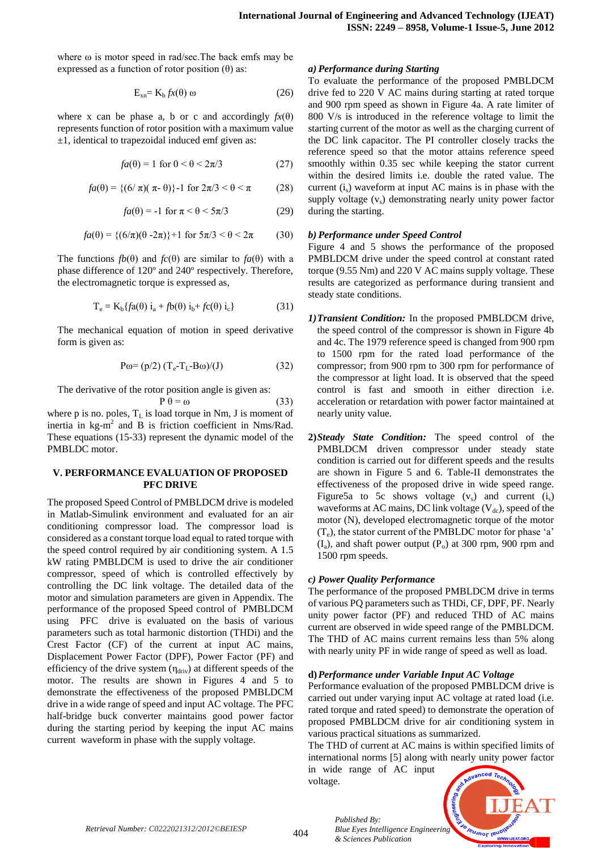where ω is motor speed in rad/sec.The back emfs may be expressed as a function of rotor position  $(\theta)$  as:

$$
E_{xn} = K_b f x(\theta) \omega \tag{26}
$$

where x can be phase a, b or c and accordingly  $f_x(\theta)$ represents function of rotor position with a maximum value  $\pm 1$ , identical to trapezoidal induced emf given as:

$$
fa(\theta) = 1 \text{ for } 0 < \theta < 2\pi/3 \tag{27}
$$

$$
fa(\theta) = \{(6/\pi)(\pi-\theta)\} - 1 \text{ for } 2\pi/3 < \theta < \pi
$$
 (28)

$$
fa(\theta) = -1 \text{ for } \pi < \theta < 5\pi/3 \tag{29}
$$

$$
fa(\theta) = \{(6/\pi)(\theta - 2\pi)\} + 1 \text{ for } 5\pi/3 < \theta < 2\pi \tag{30}
$$

The functions  $fb(\theta)$  and  $fc(\theta)$  are similar to  $fa(\theta)$  with a phase difference of 120º and 240º respectively. Therefore, the electromagnetic torque is expressed as,

$$
T_e = K_b \{ f a(\theta) i_a + f b(\theta) i_b + f c(\theta) i_c \}
$$
 (31)

The mechanical equation of motion in speed derivative form is given as:

$$
P\omega = (p/2) (T_e - T_L - B\omega)/(J)
$$
 (32)

The derivative of the rotor position angle is given as:

 $P \theta = \omega$  (33) where p is no. poles,  $T_L$  is load torque in Nm, J is moment of inertia in kg-m 2 and B is friction coefficient in Nms/Rad. These equations (15-33) represent the dynamic model of the PMBLDC motor.

#### **V. PERFORMANCE EVALUATION OF PROPOSED PFC DRIVE**

The proposed Speed Control of PMBLDCM drive is modeled in Matlab-Simulink environment and evaluated for an air conditioning compressor load. The compressor load is considered as a constant torque load equal to rated torque with the speed control required by air conditioning system. A 1.5 kW rating PMBLDCM is used to drive the air conditioner compressor, speed of which is controlled effectively by controlling the DC link voltage. The detailed data of the motor and simulation parameters are given in Appendix. The performance of the proposed Speed control of PMBLDCM using PFC drive is evaluated on the basis of various parameters such as total harmonic distortion (THDi) and the Crest Factor (CF) of the current at input AC mains, Displacement Power Factor (DPF), Power Factor (PF) and efficiency of the drive system  $(\eta_{\text{driv}})$  at different speeds of the motor. The results are shown in Figures 4 and 5 to demonstrate the effectiveness of the proposed PMBLDCM drive in a wide range of speed and input AC voltage. The PFC half-bridge buck converter maintains good power factor during the starting period by keeping the input AC mains current waveform in phase with the supply voltage.

#### *a) Performance during Starting*

To evaluate the performance of the proposed PMBLDCM drive fed to 220 V AC mains during starting at rated torque and 900 rpm speed as shown in Figure 4a. A rate limiter of 800 V/s is introduced in the reference voltage to limit the starting current of the motor as well as the charging current of the DC link capacitor. The PI controller closely tracks the reference speed so that the motor attains reference speed smoothly within 0.35 sec while keeping the stator current within the desired limits i.e. double the rated value. The current  $(i<sub>s</sub>)$  waveform at input AC mains is in phase with the supply voltage  $(v<sub>s</sub>)$  demonstrating nearly unity power factor during the starting.

#### *b) Performance under Speed Control*

Figure 4 and 5 shows the performance of the proposed PMBLDCM drive under the speed control at constant rated torque (9.55 Nm) and 220 V AC mains supply voltage. These results are categorized as performance during transient and steady state conditions.

- *1)Transient Condition:* In the proposed PMBLDCM drive, the speed control of the compressor is shown in Figure 4b and 4c. The 1979 reference speed is changed from 900 rpm to 1500 rpm for the rated load performance of the compressor; from 900 rpm to 300 rpm for performance of the compressor at light load. It is observed that the speed control is fast and smooth in either direction i.e. acceleration or retardation with power factor maintained at nearly unity value.
- **2)***Steady State Condition:* The speed control of the PMBLDCM driven compressor under steady state condition is carried out for different speeds and the results are shown in Figure 5 and 6. Table-II demonstrates the effectiveness of the proposed drive in wide speed range. Figure 5a to 5c shows voltage  $(v<sub>s</sub>)$  and current  $(i<sub>s</sub>)$ waveforms at AC mains, DC link voltage  $(V_{dc})$ , speed of the motor (N), developed electromagnetic torque of the motor  $(T_e)$ , the stator current of the PMBLDC motor for phase 'a'  $(I_a)$ , and shaft power output  $(P_o)$  at 300 rpm, 900 rpm and 1500 rpm speeds.

#### *c) Power Quality Performance*

The performance of the proposed PMBLDCM drive in terms of various PQ parameters such as THDi, CF, DPF, PF. Nearly unity power factor (PF) and reduced THD of AC mains current are observed in wide speed range of the PMBLDCM. The THD of AC mains current remains less than 5% along with nearly unity PF in wide range of speed as well as load.

#### **d)***Performance under Variable Input AC Voltage*

Performance evaluation of the proposed PMBLDCM drive is carried out under varying input AC voltage at rated load (i.e. rated torque and rated speed) to demonstrate the operation of proposed PMBLDCM drive for air conditioning system in various practical situations as summarized.

The THD of current at AC mains is within specified limits of international norms [5] along with nearly unity power factor

in wide range of AC input voltage.

*& Sciences Publication* 

*Published By:*

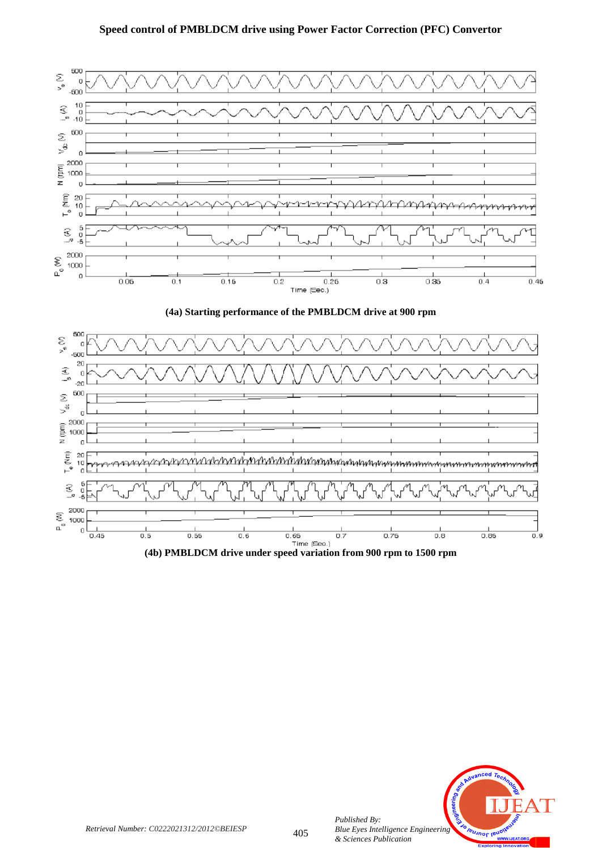



**(4b) PMBLDCM drive under speed variation from 900 rpm to 1500 rpm**



*Published By:*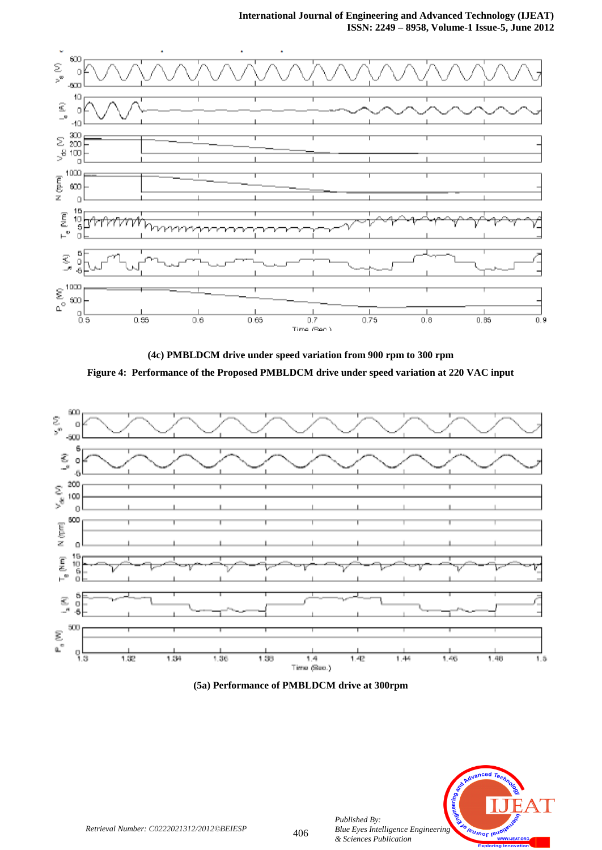## **International Journal of Engineering and Advanced Technology (IJEAT) ISSN: 2249 – 8958, Volume-1 Issue-5, June 2012**



**(4c) PMBLDCM drive under speed variation from 900 rpm to 300 rpm Figure 4: Performance of the Proposed PMBLDCM drive under speed variation at 220 VAC input**







*Retrieval Number: C0222021312/2012©BEIESP*

*Published By:*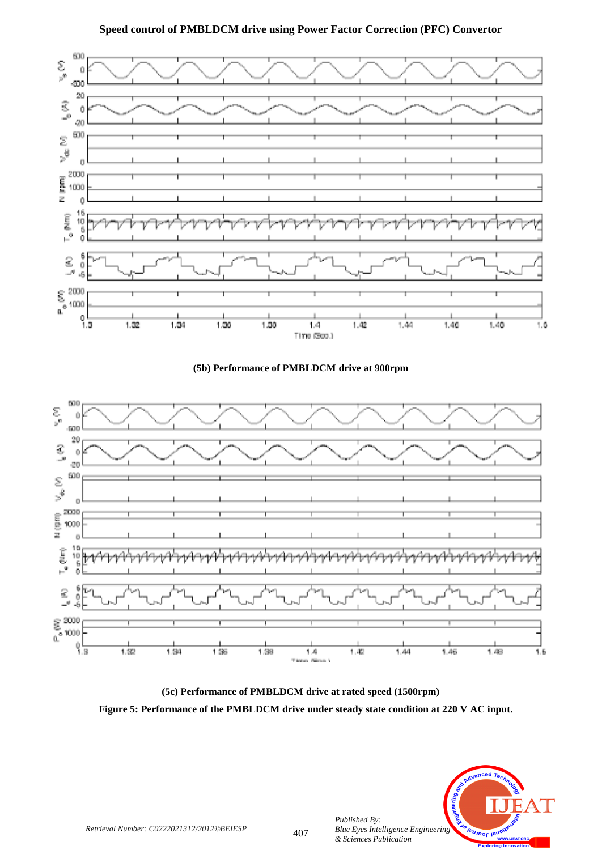





**(5c) Performance of PMBLDCM drive at rated speed (1500rpm)**





*Published By:*